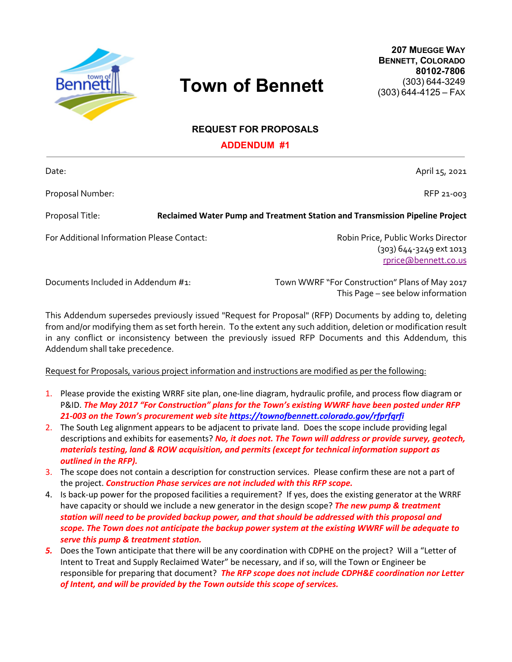

## **Town of Bennett**

**207 MUEGGE WAY BENNETT, COLORADO 80102-7806** (303) 644-3249 (303) 644-4125 – FAX

## **REQUEST FOR PROPOSALS**

**ADDENDUM #1**

Date: April 15, 2021 Proposal Number: National According to the Contract of the Contract of the Contract of the Contract of the Contract of the Contract of the Contract of the Contract of the Contract of the Contract of the Contract of the Con Proposal Title: **Reclaimed Water Pump and Treatment Station and Transmission Pipeline Project** For Additional Information Please Contact: The Content of Robin Price, Public Works Director (303) 644-3249 ext 1013 rprice@bennett.co.us

Documents Included in Addendum #1: Town WWRF "For Construction" Plans of May 2017 This Page – see below information

This Addendum supersedes previously issued "Request for Proposal" (RFP) Documents by adding to, deleting from and/or modifying them as set forth herein. To the extent any such addition, deletion or modification result in any conflict or inconsistency between the previously issued RFP Documents and this Addendum, this Addendum shall take precedence.

## Request for Proposals, various project information and instructions are modified as per the following:

- 1. Please provide the existing WRRF site plan, one-line diagram, hydraulic profile, and process flow diagram or P&ID. *The May 2017 "For Construction" plans for the Town's existing WWRF have been posted under RFP 21-003 on the Town's procurement web site https://townofbennett.colorado.gov/rfprfqrfi*
- 2. The South Leg alignment appears to be adjacent to private land. Does the scope include providing legal descriptions and exhibits for easements? *No, it does not. The Town will address or provide survey, geotech, materials testing, land & ROW acquisition, and permits (except for technical information support as outlined in the RFP).*
- 3. The scope does not contain a description for construction services. Please confirm these are not a part of the project. *Construction Phase services are not included with this RFP scope.*
- 4. Is back-up power for the proposed facilities a requirement? If yes, does the existing generator at the WRRF have capacity or should we include a new generator in the design scope? *The new pump & treatment station will need to be provided backup power, and that should be addressed with this proposal and scope. The Town does not anticipate the backup power system at the existing WWRF will be adequate to serve this pump & treatment station.*
- *5.* Does the Town anticipate that there will be any coordination with CDPHE on the project? Will a "Letter of Intent to Treat and Supply Reclaimed Water" be necessary, and if so, will the Town or Engineer be responsible for preparing that document? *The RFP scope does not include CDPH&E coordination nor Letter of Intent, and will be provided by the Town outside this scope of services.*